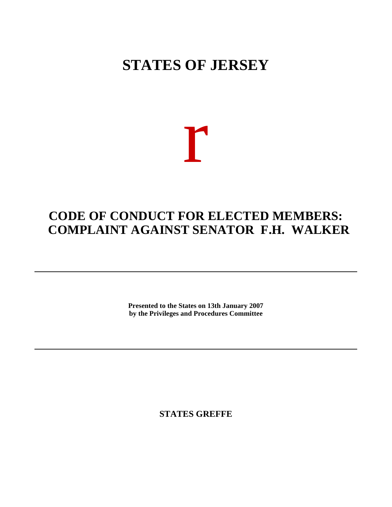## **STATES OF JERSEY**

# r

### **CODE OF CONDUCT FOR ELECTED MEMBERS: COMPLAINT AGAINST SENATOR F.H. WALKER**

**Presented to the States on 13th January 2007 by the Privileges and Procedures Committee**

**STATES GREFFE**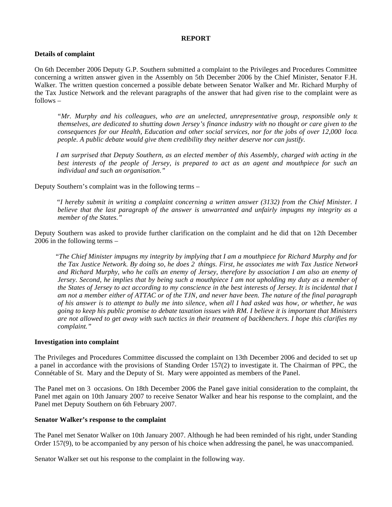#### **REPORT**

#### **Details of complaint**

On 6th December 2006 Deputy G.P. Southern submitted a complaint to the Privileges and Procedures Committee concerning a written answer given in the Assembly on 5th December 2006 by the Chief Minister, Senator F.H. Walker. The written question concerned a possible debate between Senator Walker and Mr. Richard Murphy of the Tax Justice Network and the relevant paragraphs of the answer that had given rise to the complaint were as follows –

 *"Mr. Murphy and his colleagues, who are an unelected, unrepresentative group, responsible only to themselves, are dedicated to shutting down Jersey's finance industry with no thought or care given to the consequences for our Health, Education and other social services, nor for the jobs of over 12,000 local people. A public debate would give them credibility they neither deserve nor can justify.*

 *I am surprised that Deputy Southern, as an elected member of this Assembly, charged with acting in the best interests of the people of Jersey, is prepared to act as an agent and mouthpiece for such an individual and such an organisation."*

Deputy Southern's complaint was in the following terms –

 *"I hereby submit in writing a complaint concerning a written answer (3132) from the Chief Minister. I believe that the last paragraph of the answer is unwarranted and unfairly impugns my integrity as a member of the States."*

Deputy Southern was asked to provide further clarification on the complaint and he did that on 12th December 2006 in the following terms –

 "*The Chief Minister impugns my integrity by implying that I am a mouthpiece for Richard Murphy and for the Tax Justice Network. By doing so, he does 2 things. First, he associates me with Tax Justice Network and Richard Murphy, who he calls an enemy of Jersey, therefore by association I am also an enemy of Jersey. Second, he implies that by being such a mouthpiece I am not upholding my duty as a member of the States of Jersey to act according to my conscience in the best interests of Jersey. It is incidental that I am not a member either of ATTAC or of the TJN, and never have been. The nature of the final paragraph of his answer is to attempt to bully me into silence, when all I had asked was how, or whether, he was going to keep his public promise to debate taxation issues with RM. I believe it is important that Ministers are not allowed to get away with such tactics in their treatment of backbenchers. I hope this clarifies my complaint."*

#### **Investigation into complaint**

The Privileges and Procedures Committee discussed the complaint on 13th December 2006 and decided to set up a panel in accordance with the provisions of Standing Order 157(2) to investigate it. The Chairman of PPC, the Connétable of St. Mary and the Deputy of St. Mary were appointed as members of the Panel.

The Panel met on 3 occasions. On 18th December 2006 the Panel gave initial consideration to the complaint, the Panel met again on 10th January 2007 to receive Senator Walker and hear his response to the complaint, and the Panel met Deputy Southern on 6th February 2007.

#### **Senator Walker's response to the complaint**

The Panel met Senator Walker on 10th January 2007. Although he had been reminded of his right, under Standing Order 157(9), to be accompanied by any person of his choice when addressing the panel, he was unaccompanied.

Senator Walker set out his response to the complaint in the following way.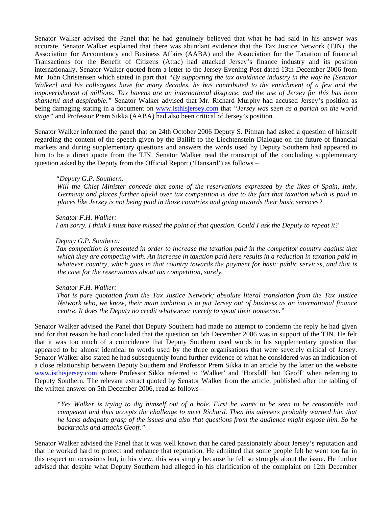Senator Walker advised the Panel that he had genuinely believed that what he had said in his answer was accurate. Senator Walker explained that there was abundant evidence that the Tax Justice Network (TJN), the Association for Accountancy and Business Affairs (AABA) and the Association for the Taxation of financial Transactions for the Benefit of Citizens (Attac) had attacked Jersey's finance industry and its position internationally. Senator Walker quoted from a letter to the Jersey Evening Post dated 13th December 2006 from Mr. John Christensen which stated in part that *"By supporting the tax avoidance industry in the way he [Senator Walker] and his colleagues have for many decades, he has contributed to the enrichment of a few and the impoverishment of millions. Tax havens are an international disgrace, and the use of Jersey for this has been shameful and despicable."* Senator Walker advised that Mr. Richard Murphy had accused Jersey's position as being damaging stating in a document on <www.isthisjersey.com> that *"Jersey was seen as a pariah on the world stage"* and Professor Prem Sikka (AABA) had also been critical of Jersey's position.

Senator Walker informed the panel that on 24th October 2006 Deputy S. Pitman had asked a question of himself regarding the content of the speech given by the Bailiff to the Liechtenstein Dialogue on the future of financial markets and during supplementary questions and answers the words used by Deputy Southern had appeared to him to be a direct quote from the TJN. Senator Walker read the transcript of the concluding supplementary question asked by the Deputy from the Official Report ('Hansard') as follows –

#### *"Deputy G.P. Southern:*

 *Will the Chief Minister concede that some of the reservations expressed by the likes of Spain, Italy, Germany and places further afield over tax competition is due to the fact that taxation which is paid in places like Jersey is not being paid in those countries and going towards their basic services?*

#### *Senator F.H. Walker:*

 *I am sorry. I think I must have missed the point of that question. Could I ask the Deputy to repeat it?*

#### *Deputy G.P. Southern:*

 *Tax competition is presented in order to increase the taxation paid in the competitor country against that which they are competing with. An increase in taxation paid here results in a reduction in taxation paid in whatever country, which goes in that country towards the payment for basic public services, and that is the case for the reservations about tax competition, surely.*

#### *Senator F.H. Walker:*

 *That is pure quotation from the Tax Justice Network; absolute literal translation from the Tax Justice Network who, we know, their main ambition is to put Jersey out of business as an international finance centre. It does the Deputy no credit whatsoever merely to spout their nonsense."*

Senator Walker advised the Panel that Deputy Southern had made no attempt to condemn the reply he had given and for that reason he had concluded that the question on 5th December 2006 was in support of the TJN. He felt that it was too much of a coincidence that Deputy Southern used words in his supplementary question that appeared to be almost identical to words used by the three organisations that were severely critical of Jersey. Senator Walker also stated he had subsequently found further evidence of what he considered was an indication of a close relationship between Deputy Southern and Professor Prem Sikka in an article by the latter on the website <www.isthisjersey.com>where Professor Sikka referred to 'Walker' and 'Horsfall' but 'Geoff' when referring to Deputy Southern. The relevant extract quoted by Senator Walker from the article, published after the tabling of the written answer on 5th December 2006, read as follows –

 *"Yes Walker is trying to dig himself out of a hole. First he wants to be seen to be reasonable and competent and thus accepts the challenge to meet Richard. Then his advisers probably warned him that he lacks adequate grasp of the issues and also that questions from the audience might expose him. So he backtracks and attacks Geoff."*

Senator Walker advised the Panel that it was well known that he cared passionately about Jersey's reputation and that he worked hard to protect and enhance that reputation. He admitted that some people felt he went too far in this respect on occasions but, in his view, this was simply because he felt so strongly about the issue. He further advised that despite what Deputy Southern had alleged in his clarification of the complaint on 12th December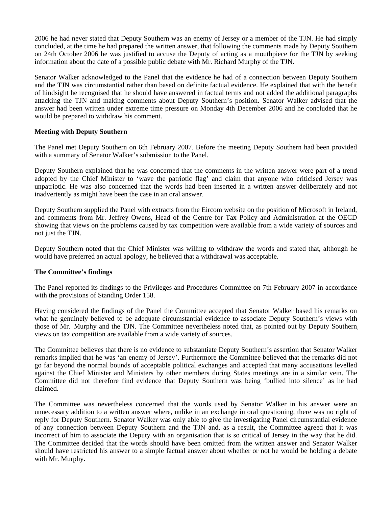2006 he had never stated that Deputy Southern was an enemy of Jersey or a member of the TJN. He had simply concluded, at the time he had prepared the written answer, that following the comments made by Deputy Southern on 24th October 2006 he was justified to accuse the Deputy of acting as a mouthpiece for the TJN by seeking information about the date of a possible public debate with Mr. Richard Murphy of the TJN.

Senator Walker acknowledged to the Panel that the evidence he had of a connection between Deputy Southern and the TJN was circumstantial rather than based on definite factual evidence. He explained that with the benefit of hindsight he recognised that he should have answered in factual terms and not added the additional paragraphs attacking the TJN and making comments about Deputy Southern's position. Senator Walker advised that the answer had been written under extreme time pressure on Monday 4th December 2006 and he concluded that he would be prepared to withdraw his comment.

#### **Meeting with Deputy Southern**

The Panel met Deputy Southern on 6th February 2007. Before the meeting Deputy Southern had been provided with a summary of Senator Walker's submission to the Panel.

Deputy Southern explained that he was concerned that the comments in the written answer were part of a trend adopted by the Chief Minister to 'wave the patriotic flag' and claim that anyone who criticised Jersey was unpatriotic. He was also concerned that the words had been inserted in a written answer deliberately and not inadvertently as might have been the case in an oral answer.

Deputy Southern supplied the Panel with extracts from the Eircom website on the position of Microsoft in Ireland, and comments from Mr. Jeffrey Owens, Head of the Centre for Tax Policy and Administration at the OECD showing that views on the problems caused by tax competition were available from a wide variety of sources and not just the TJN.

Deputy Southern noted that the Chief Minister was willing to withdraw the words and stated that, although he would have preferred an actual apology, he believed that a withdrawal was acceptable.

#### **The Committee's findings**

The Panel reported its findings to the Privileges and Procedures Committee on 7th February 2007 in accordance with the provisions of Standing Order 158.

Having considered the findings of the Panel the Committee accepted that Senator Walker based his remarks on what he genuinely believed to be adequate circumstantial evidence to associate Deputy Southern's views with those of Mr. Murphy and the TJN. The Committee nevertheless noted that, as pointed out by Deputy Southern, views on tax competition are available from a wide variety of sources.

The Committee believes that there is no evidence to substantiate Deputy Southern's assertion that Senator Walker remarks implied that he was 'an enemy of Jersey'. Furthermore the Committee believed that the remarks did not go far beyond the normal bounds of acceptable political exchanges and accepted that many accusations levelled against the Chief Minister and Ministers by other members during States meetings are in a similar vein. The Committee did not therefore find evidence that Deputy Southern was being 'bullied into silence' as he had claimed.

The Committee was nevertheless concerned that the words used by Senator Walker in his answer were an unnecessary addition to a written answer where, unlike in an exchange in oral questioning, there was no right of reply for Deputy Southern. Senator Walker was only able to give the investigating Panel circumstantial evidence of any connection between Deputy Southern and the TJN and, as a result, the Committee agreed that it was incorrect of him to associate the Deputy with an organisation that is so critical of Jersey in the way that he did. The Committee decided that the words should have been omitted from the written answer and Senator Walker should have restricted his answer to a simple factual answer about whether or not he would be holding a debate with Mr. Murphy.